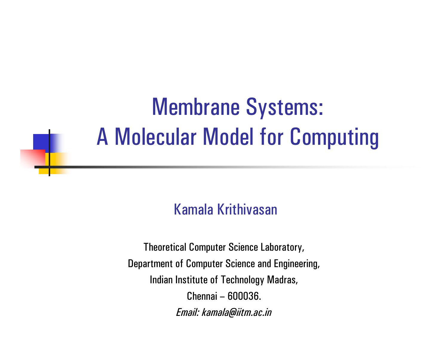# Membrane Systems: A Molecular Model for Computing

#### Kamala Krithivasan

Theoretical Computer Science Laboratory, Department of Computer Science and Engineering, Indian Institute of Technology Madras, Chennai – 600036. *Email: kamala@iitm.ac.in*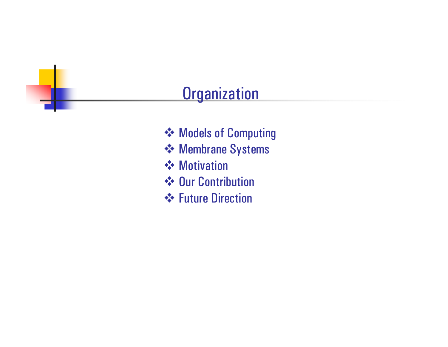# **Organization**

- Models of Computing
- **<sup>❖</sup> Membrane Systems**
- **❖ Motivation**
- **❖ Our Contribution**
- **❖ Future Direction**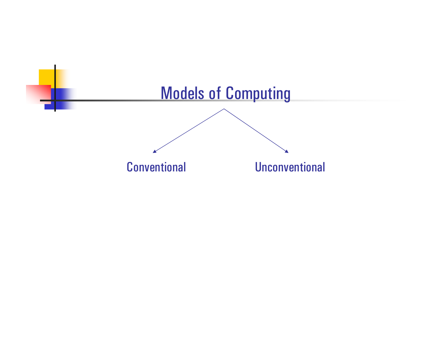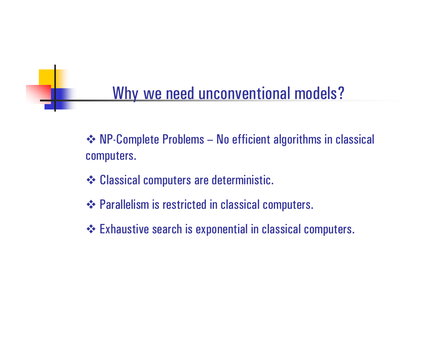# Why we need unconventional models?

 $\triangle$  NP-Complete Problems – No efficient algorithms in classical computers.

- Classical computers are deterministic.
- $\triangle$  Parallelism is restricted in classical computers.
- Exhaustive search is exponential in classical computers.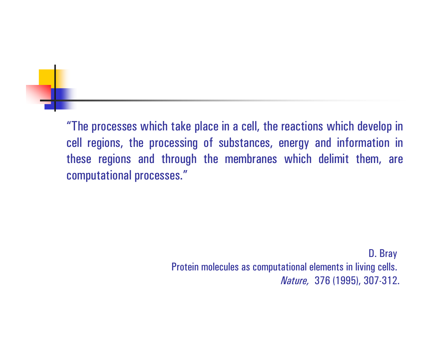"The processes which take place in a cell, the reactions which develop in cell regions, the processing of substances, energy and information in these regions and through the membranes which delimit them, are computational processes."

> D. Bray Protein molecules as computational elements in living cells. *Nature,* 376 (1995), 307-312.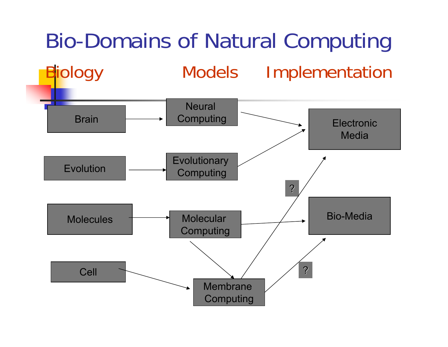#### Bio-Domains of Natural Computing Biology Models Implementation ?**Brain** Evolution**Molecules** Cell**Neural Computing Evolutionary Computing Molecular Computing** Membrane **Electronic Media** Bio-Media?

**Computing**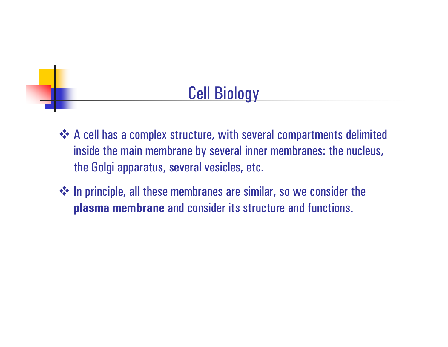# Cell Biology

- **EX** A cell has a complex structure, with several compartments delimited inside the main membrane by several inner membranes: the nucleus, the Golgi apparatus, several vesicles, etc.
- **<sup>◆</sup>** In principle, all these membranes are similar, so we consider the **plasma membrane** and consider its structure and functions.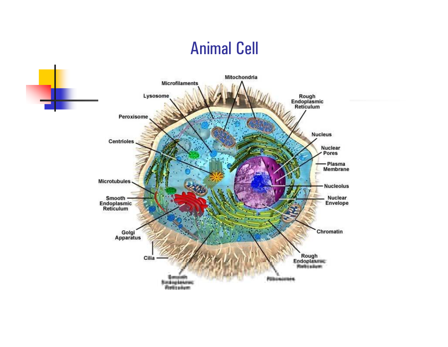### Animal Cell

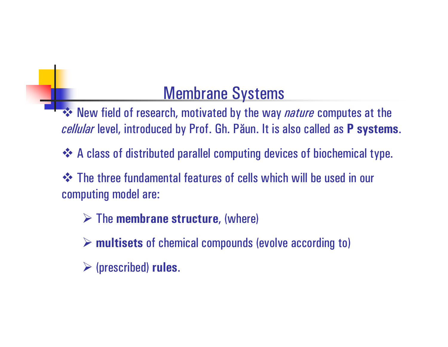### Membrane Systems

 $\leftrightarrow$  New field of research, motivated by the way *nature* computes at the *cellular* level, introduced by Prof. Gh. Păun. It is also called as **P systems**.

A class of distributed parallel computing devices of biochemical type.

 The three fundamental features of cells which will be used in our computing model are:

- The **membrane structure**, (where)
- **multisets** of chemical compounds (evolve according to)
- (prescribed) **rules**.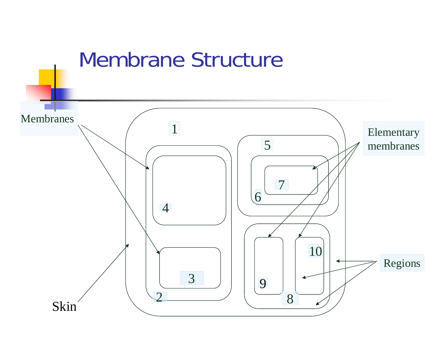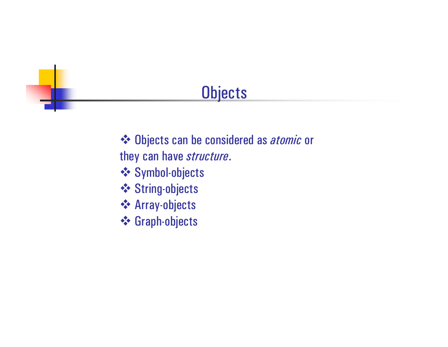# **Objects**

 Objects can be considered as *atomic* or they can have *structure*.

- **❖ Symbol-objects**
- String-objects
- Array-objects
- **❖ Graph-objects**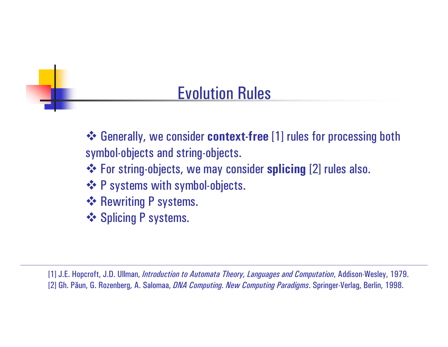## Evolution Rules

 Generally, we consider **context-free** [1] rules for processing both symbol-objects and string-objects.

- For string-objects, we may consider **splicing** [2] rules also.
- P systems with symbol-objects.
- **<sup>❖</sup> Rewriting P systems.**
- **❖ Splicing P systems.**

[1] J.E. Hopcroft, J.D. Ullman, *Introduction to Automata Theory, Languages and Computation*, Addison-Wesley, 1979. [2] Gh. Păun, G. Rozenberg, A. Salomaa, *DNA Computing. New Computing Paradigms*. Springer-Verlag, Berlin, 1998.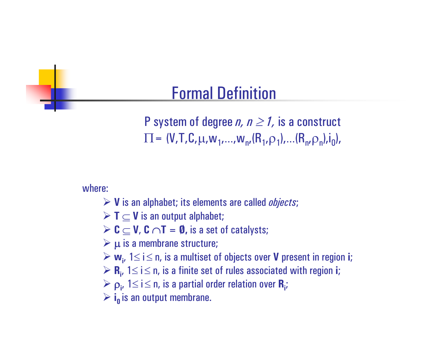## Formal Definition

P system of degree *n, n*  $\geq$  *1,* is a construct  $\Pi = (V, T, C, \mu, w_1, ..., w_n, (R_1, \rho_1), ..., (R_n, \rho_n), i_0),$ 

where:

- **V** is an alphabet; its elements are called *objects*;
- $\triangleright$  **T**  $\subseteq$  **V** is an output alphabet;
- $\triangleright$  **C**  $\subseteq$  **V**, **C**  $\cap$  **T** = **Ø**, is a set of catalysts;

 $\triangleright$   $\mu$  is a membrane structure;

 $\triangleright$  **w**<sub>i</sub>, 1 is a multiset of objects over **V** present in region **i**;

 $\triangleright$  **R**<sub>i</sub>,  $1 \le i \le n$ , is a finite set of rules associated with region **i**;

 $\triangleright$   $\rho_i$ ,  $1 \le i \le n$ , is a partial order relation over **R**<sub>i</sub>;

 $\triangleright$  **i**<sub>0</sub> is an output membrane.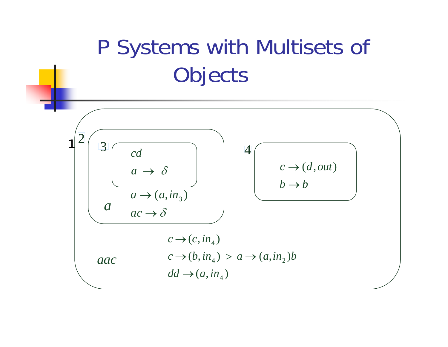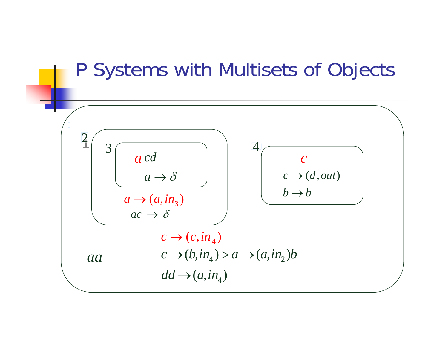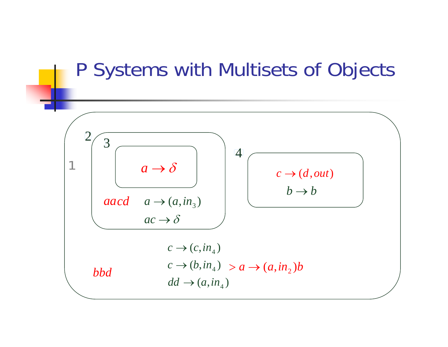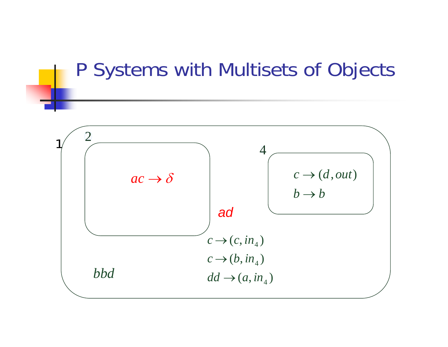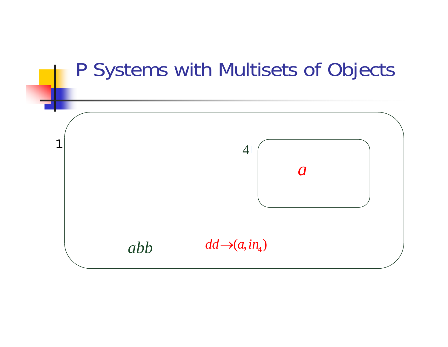

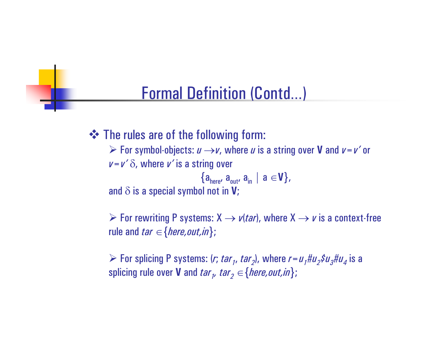### Formal Definition (Contd…)

 **The rules are of the following form:** 

 $\triangleright$  For symbol-objects:  $u \rightarrow v$ , where u is a string over **V** and  $v = v'$  or  $v = v' \delta$ , where *v'* is a string over

{ahere, aout, ain | a **<sup>V</sup>**}, and  $\delta$  is a special symbol not in **V**;

 $\triangleright$  For rewriting P systems:  $X \rightarrow v$  *v*(*tar*), where  $X \rightarrow v$  is a context-free rule and *tar* {*here,out,in*};

 $\triangleright$  For splicing P systems: (*r*; *tar<sub>1</sub>*, *tar<sub>2</sub>*), where  $r = u_1 \# u_2 \$ g# $u_3 \# u_4$  is a splicing rule over **V** and  $tar_{1'}$   $tar_{2} \in \{here, out, in\}$ ;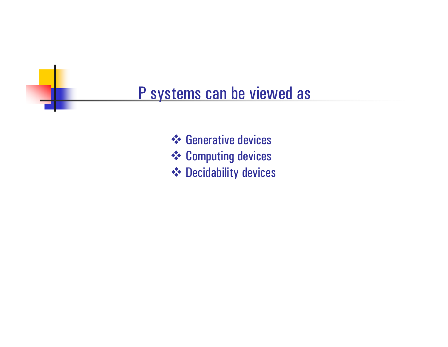### P systems can be viewed as

- **Strative devices**
- **<sup>❖</sup> Computing devices**
- Decidability devices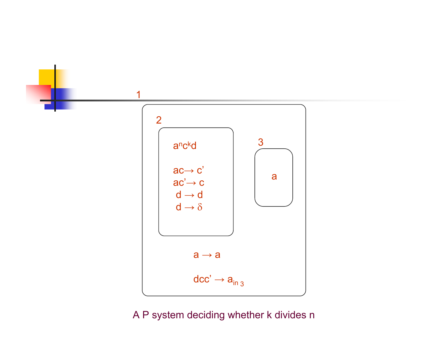

#### A P system deciding whether k divides n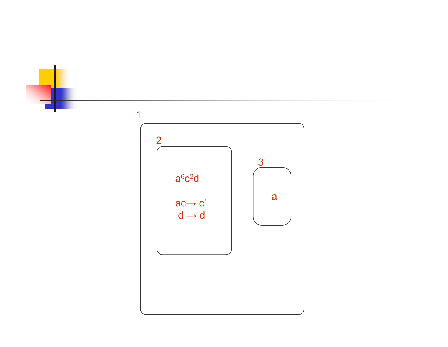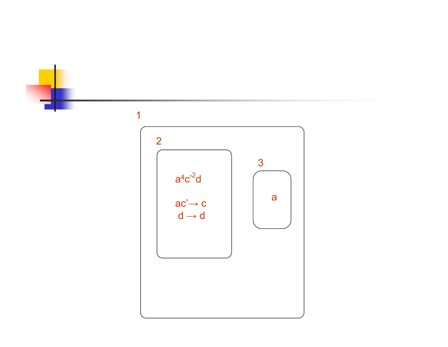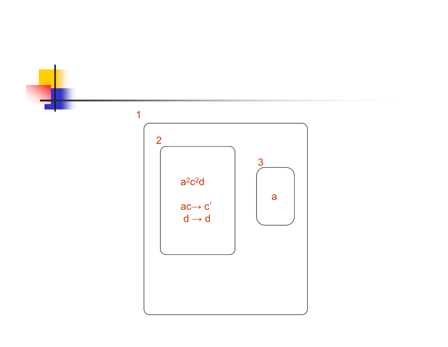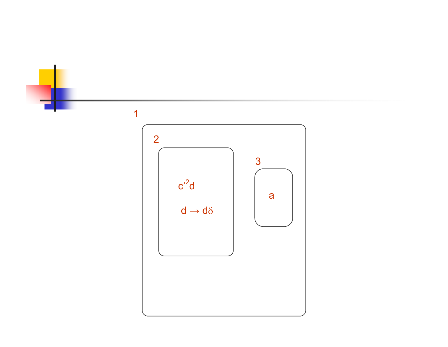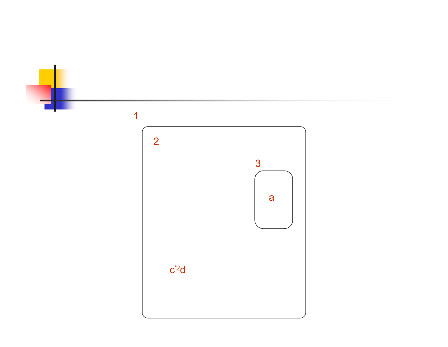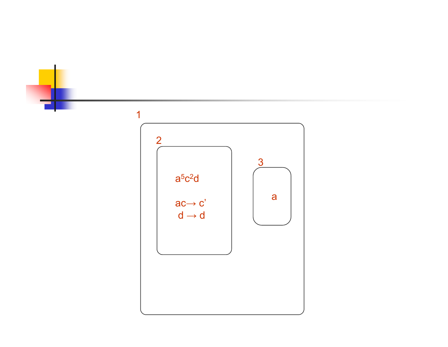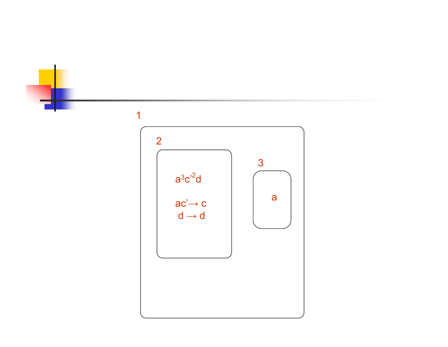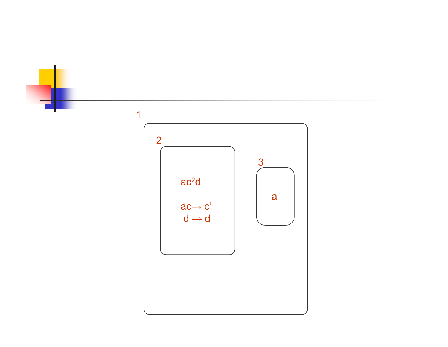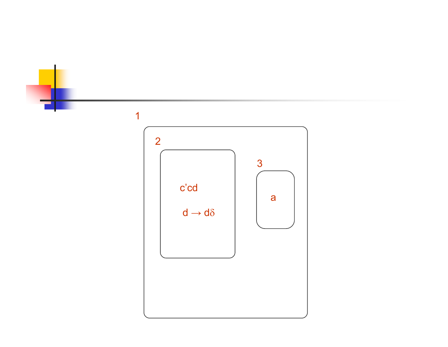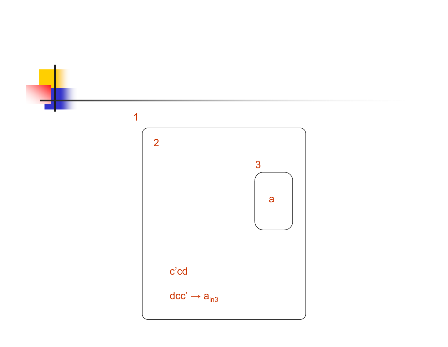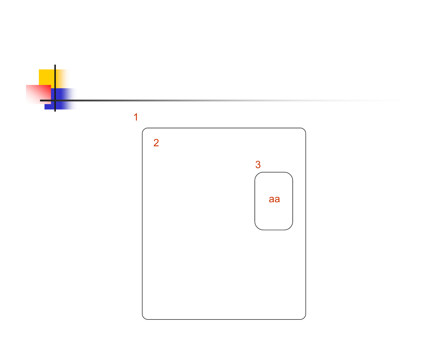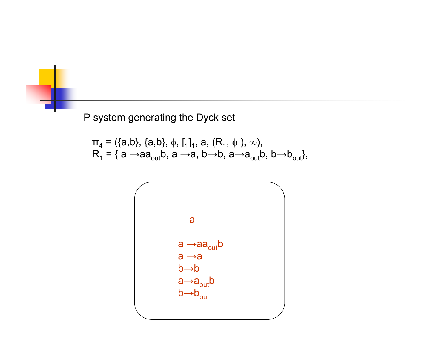P system generating the Dyck set

$$
\pi_4 = (\{a,b\}, \{a,b\}, \phi, \left[\begin{matrix}1\\1\end{matrix}\right], a, (R_1, \phi), \infty),
$$
  
\n
$$
R_1 = \{a \rightarrow aa_{out}b, a \rightarrow a, b \rightarrow b, a \rightarrow a_{out}b, b \rightarrow b_{out}\},
$$

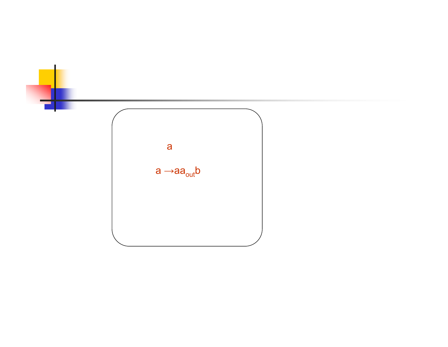

m.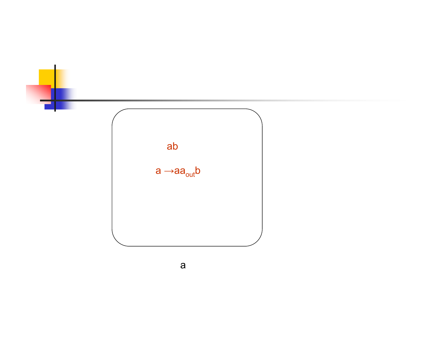

m,

 $\mathsf{a}$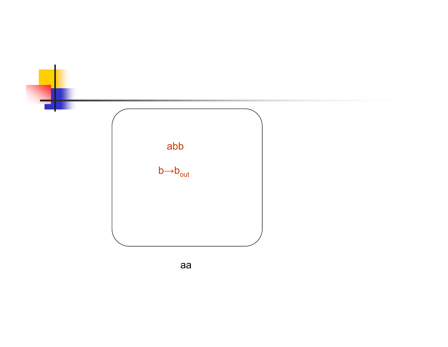

 $\blacklozenge$ 

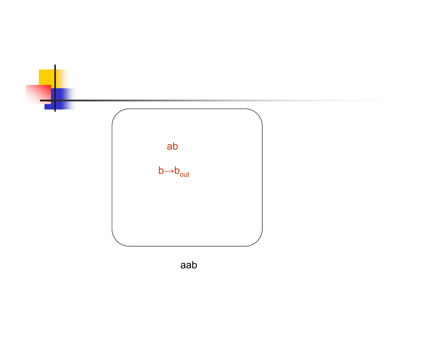

 $\blacklozenge$ 

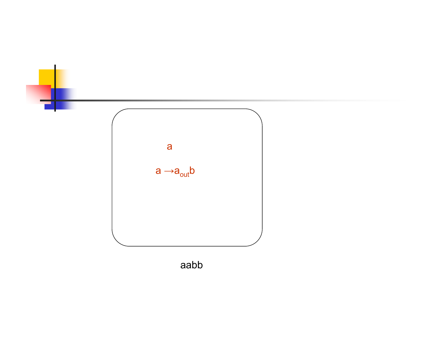

.

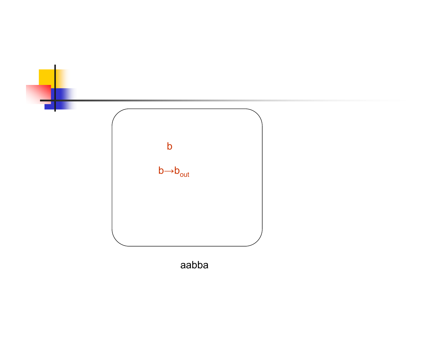

o i

aabba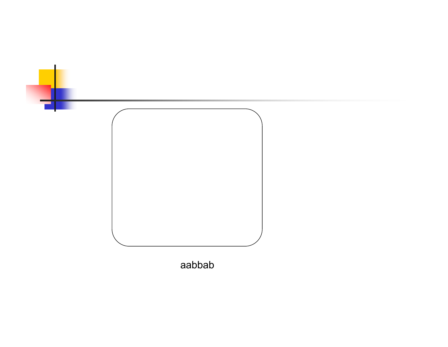

aabbab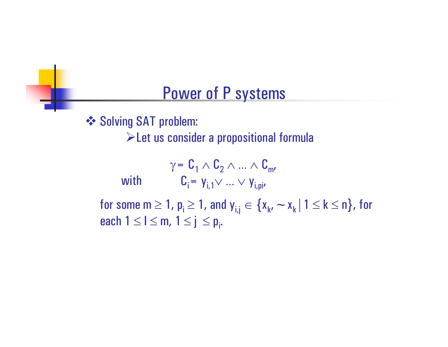Solving SAT problem:

Let us consider a propositional formula

with  $\gamma$  =  $\,$   $\mathsf{C}_{\,1} \wedge$   $\,$   $\mathsf{C}_{\,2} \wedge ... \wedge$   $\, \mathsf{C}_{\mathsf{m}{\it r}}$  $\textsf{C}_\textsf{i}$ = y<sub>i,1</sub> $\lor\ ... \lor$  y<sub>i,pi</sub>, for some m  $\geq 1$ ,  $p_i \geq 1$ , and  $y_{i,j} \in \{x_{k'} \sim x_k | 1 \leq k \leq n\}$ , for each 1 ≤ l ≤ m, 1 ≤ j ≤ p<sub>i</sub>.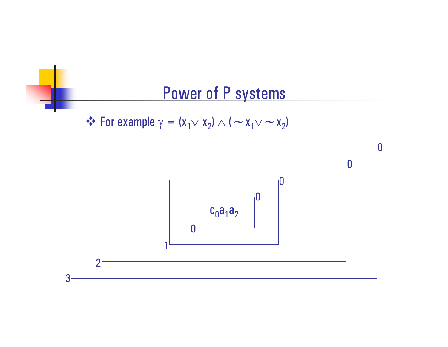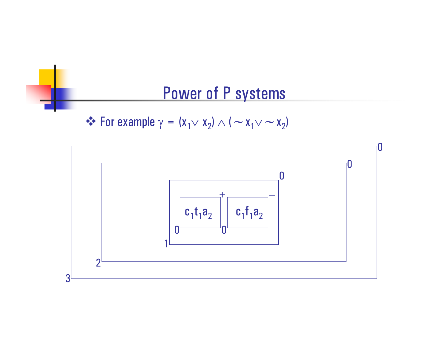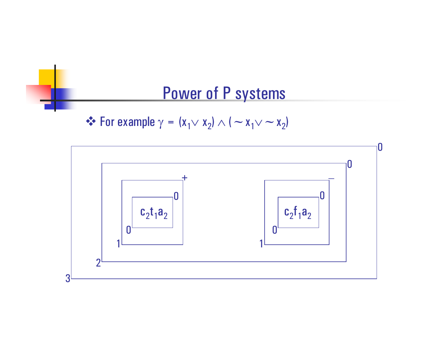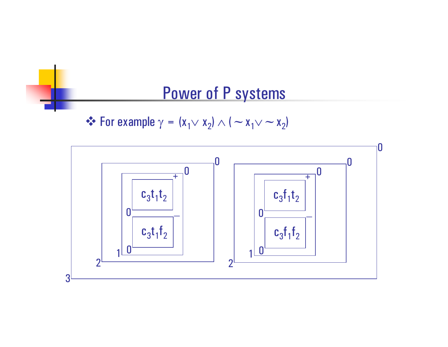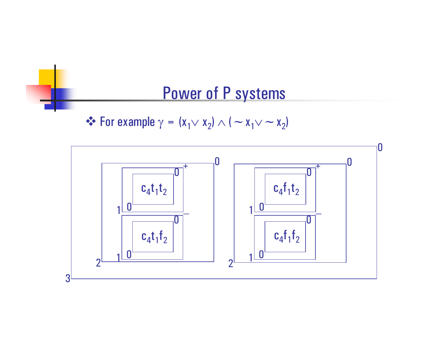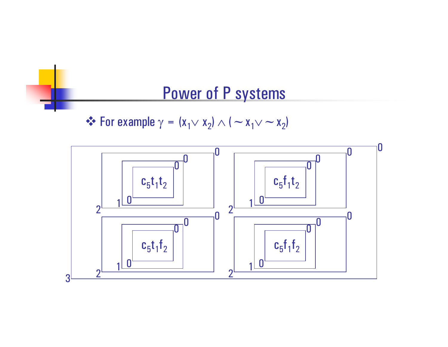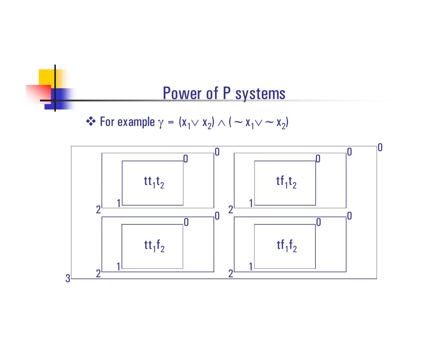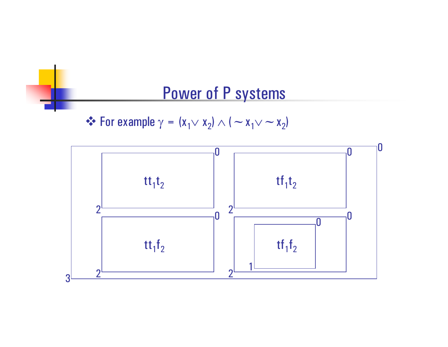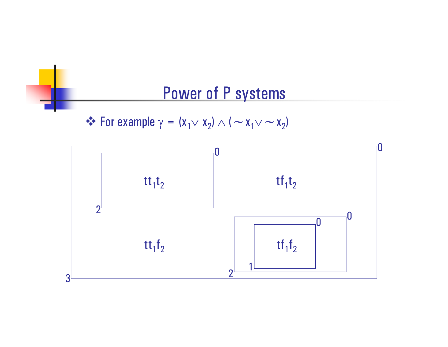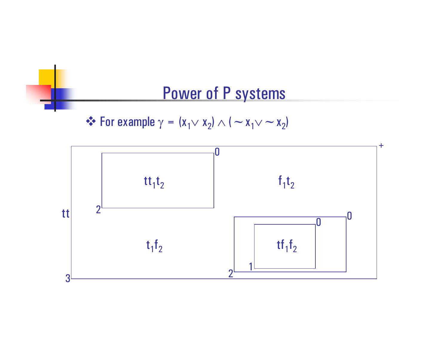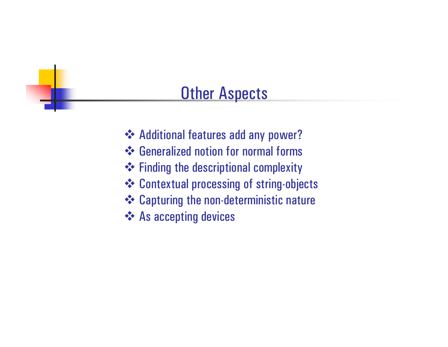### **Other Aspects**

- **<sup>❖</sup> Additional features add any power?**
- **<sup>❖</sup> Generalized notion for normal forms**
- **<sup>◆</sup>** Finding the descriptional complexity
- Contextual processing of string-objects
- Capturing the non-deterministic nature
- As accepting devices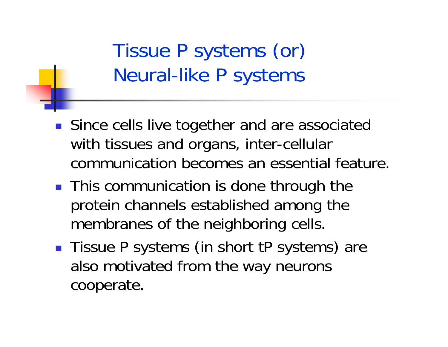Tissue P systems (or) Neural-like P systems

- **Since cells live together and are associated** with tissues and organs, inter-cellular communication becomes an essential feature.
- This communication is done through the protein channels established among the membranes of the neighboring cells.
- Tissue P systems (in short tP systems) are also motivated from the way neurons cooperate.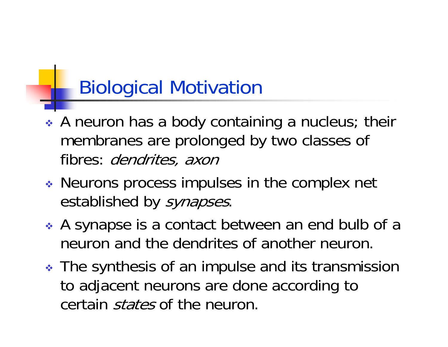# Biological Motivation

- A neuron has a body containing a nucleus; their membranes are prolonged by two classes of fibres: *dendrites, axon*
- Neurons process impulses in the complex net established by *synapses*.
- A synapse is a contact between an end bulb of a neuron and the dendrites of another neuron.
- The synthesis of an impulse and its transmission to adjacent neurons are done according to certain *states* of the neuron.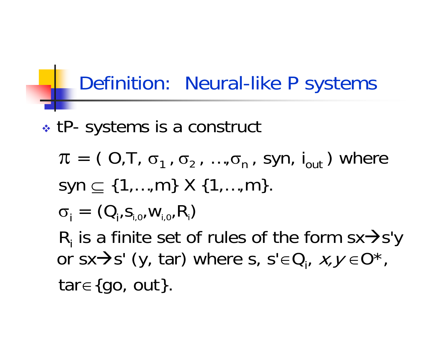# Definition: Neural-like P systems

- tP- systems is a construct
	- $\pi$  = ( O,T,  $\sigma_1$  ,  $\sigma_2$  , ..., $\sigma_n$  , syn, i<sub>out</sub> ) where syn  $\subseteq$  {1,...,m} X {1,...,m}.

$$
\sigma_i = (Q_i, S_{i,0}, W_{i,0}, R_i)
$$

R<sub>i</sub> is a finite set of rules of the form sx $\rightarrow$ s'y or sx $\rightarrow$ s' (y, tar) where s, s' $\in$ Q<sub>i</sub>, x,y  $\in$ O\*, tar {go, out}.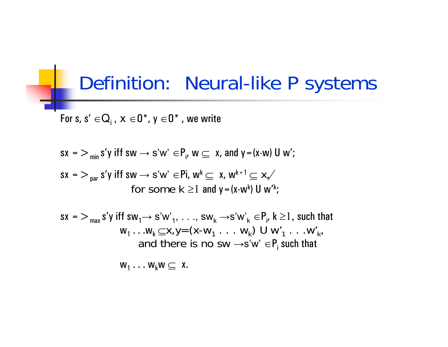# Definition: Neural-like P systems

For s, s'  $\in$   $\mathsf{Q}_\mathsf{i}$  ,  $\mathsf{x} \in$  0\* ,  $\mathsf{y} \in$  0\* , we write

$$
sx = \sum_{min} s'y \text{ iff } sw \rightarrow s'w' \in P_i, w \subseteq x, \text{ and } y = (x-w) \cup w';
$$
\n
$$
sx = \sum_{par} s'y \text{ iff } sw \rightarrow s'w' \in Pi, w^k \subseteq x, w^{k+1} \subseteq x, \text{ with } y = (x-w^k) \cup w'^k;
$$
\n
$$
\text{for some } k \ge 1 \text{ and } y = (x-w^k) \cup w'^k;
$$

$$
sx = \sum_{max} s'y \text{ iff } sw_1 \rightarrow s'w'_1, \ldots, sw_k \rightarrow s'w'_k \in P_i, k \ge 1, \text{ such that}
$$
  

$$
w_1 \ldots w_k \subseteq x, y = (x-w_1 \ldots w_k) \cup w'_1 \ldots w'_k,
$$
  
and there is no sw  $\rightarrow s'w' \in P_i$  such that

 $\boldsymbol{W}_1$  . . .  $\boldsymbol{W}_\textsf{k} \boldsymbol{W} \subseteq X$ .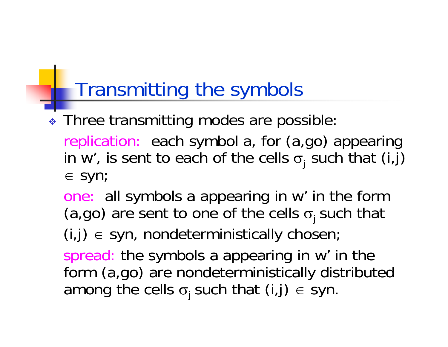# Transmitting the symbols

- Three transmitting modes are possible replication: each symbol a, for (a,go) appearing in w', is sent to each of the cells  $\sigma_{\rm j}$  such that (i,j)  $\,$  $\in$  syn;
	- one: all symbols a appearing in w' in the form (a,go) are sent to one of the cells  $\sigma_{\rm j}$  such that (i,j)  $\in$  syn, nondeterministically chosen; spread: the symbols a appearing in w' in the form (a,go) are nondeterministically distributed among the cells  $\sigma_{\rm j}$  such that (i,j)  $\,$  $\in$  syn.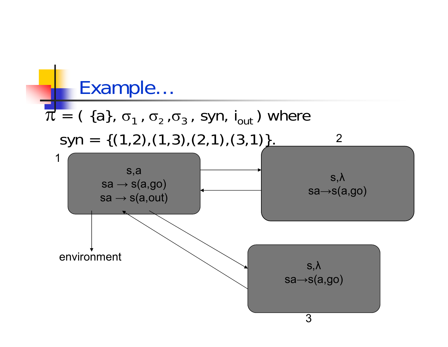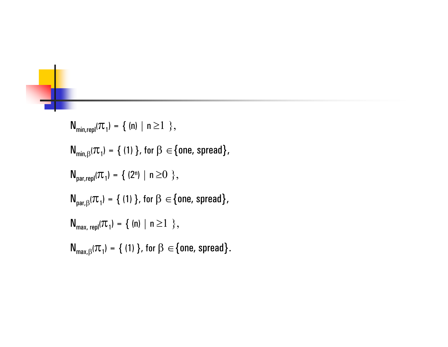$$
N_{min,rep}(\pi_1) = \{ (n) | n \ge 1 \},
$$
\n
$$
N_{min,\beta}(\pi_1) = \{ (1) \}, \text{ for } \beta \in \{\text{one, spread} \},
$$
\n
$$
N_{par,rep}(\pi_1) = \{ (2^n) | n \ge 0 \},
$$
\n
$$
N_{par,\beta}(\pi_1) = \{ (1) \}, \text{ for } \beta \in \{\text{one, spread} \},
$$
\n
$$
N_{max,rep}(\pi_1) = \{ (n) | n \ge 1 \},
$$
\n
$$
N_{max,\beta}(\pi_1) = \{ (1) \}, \text{ for } \beta \in \{\text{one, spread} \}.
$$

w.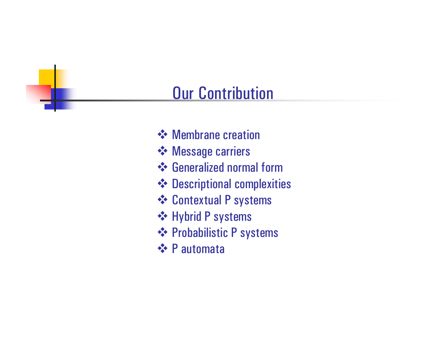# Our Contribution

- **<sup>❖</sup>** Membrane creation
- **<sup>◆</sup>** Message carriers
- **<sup>❖</sup> Generalized normal form**
- Descriptional complexities
- Contextual P systems
- **❖ Hybrid P systems**
- **❖ Probabilistic P systems**
- $\div$  **P** automata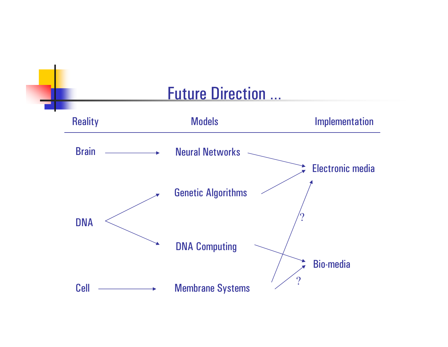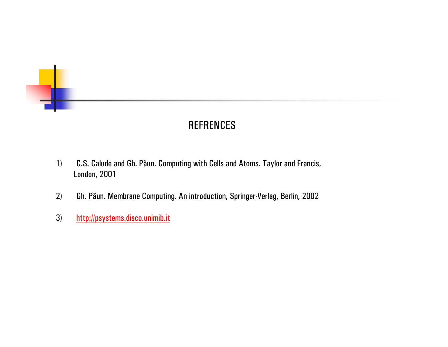

#### **REFRENCES**

- C.S. Calude and Gh. Păun. Computing with Cells and Atoms. Taylor and Francis,  $1)$ **London, 2001**
- Gh. Păun. Membrane Computing. An introduction, Springer-Verlag, Berlin, 2002  $2)$
- http://psystems.disco.unimib.it  $3)$